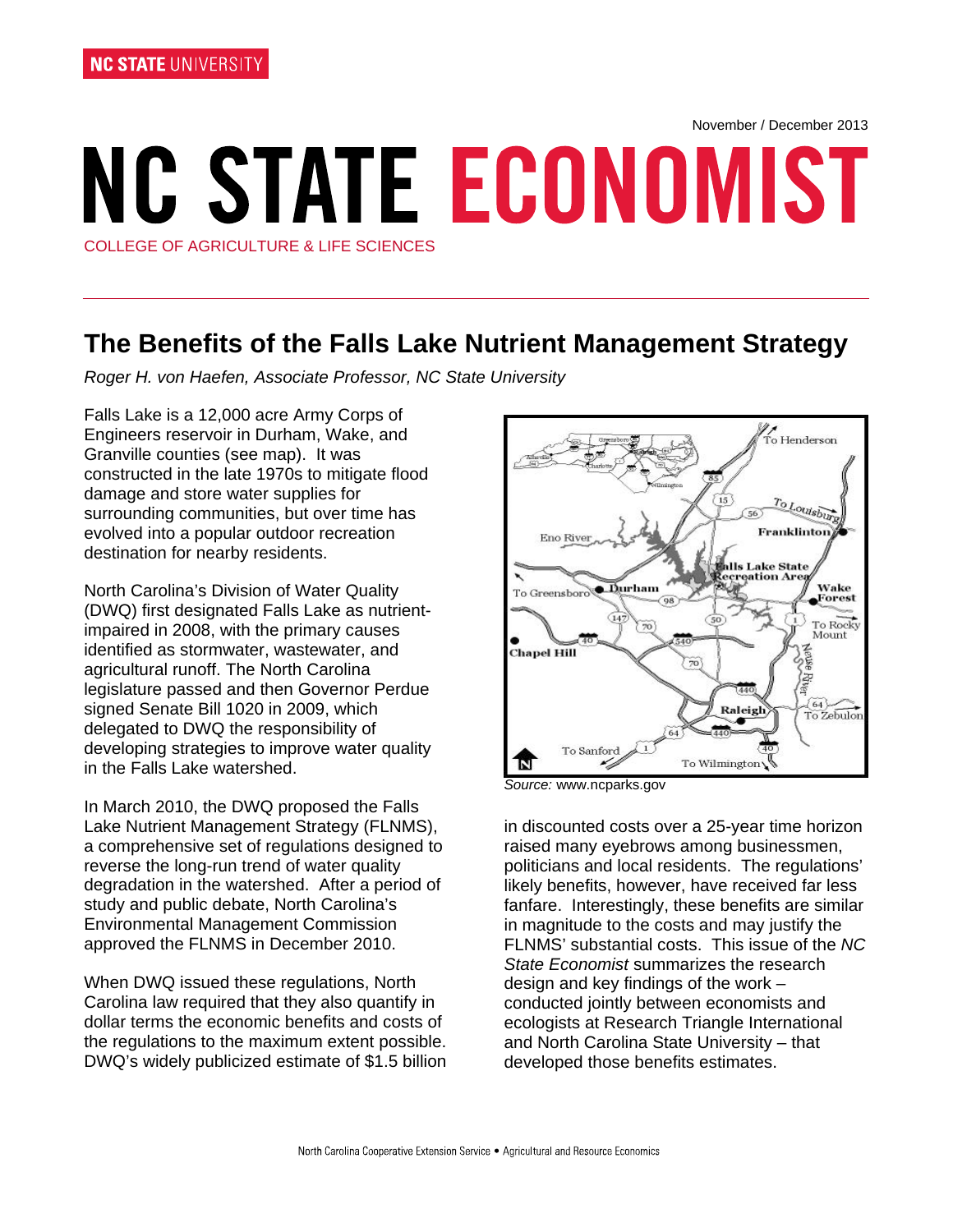November / December 2013

# **NC STATE ECONOMIST** COLLEGE OF AGRICULTURE & LIFE SCIENCES

## **The Benefits of the Falls Lake Nutrient Management Strategy**

*Roger H. von Haefen, Associate Professor, NC State University* 

Falls Lake is a 12,000 acre Army Corps of Engineers reservoir in Durham, Wake, and Granville counties (see map). It was constructed in the late 1970s to mitigate flood damage and store water supplies for surrounding communities, but over time has evolved into a popular outdoor recreation destination for nearby residents.

North Carolina's Division of Water Quality (DWQ) first designated Falls Lake as nutrientimpaired in 2008, with the primary causes identified as stormwater, wastewater, and agricultural runoff. The North Carolina legislature passed and then Governor Perdue signed Senate Bill 1020 in 2009, which delegated to DWQ the responsibility of developing strategies to improve water quality in the Falls Lake watershed.

In March 2010, the DWQ proposed the Falls Lake Nutrient Management Strategy (FLNMS), a comprehensive set of regulations designed to reverse the long-run trend of water quality degradation in the watershed. After a period of study and public debate, North Carolina's Environmental Management Commission approved the FLNMS in December 2010.

When DWQ issued these regulations, North Carolina law required that they also quantify in dollar terms the economic benefits and costs of the regulations to the maximum extent possible. DWQ's widely publicized estimate of \$1.5 billion



*Source:* www.ncparks.gov

in discounted costs over a 25-year time horizon raised many eyebrows among businessmen, politicians and local residents. The regulations' likely benefits, however, have received far less fanfare. Interestingly, these benefits are similar in magnitude to the costs and may justify the FLNMS' substantial costs. This issue of the *NC State Economist* summarizes the research design and key findings of the work – conducted jointly between economists and ecologists at Research Triangle International and North Carolina State University – that developed those benefits estimates.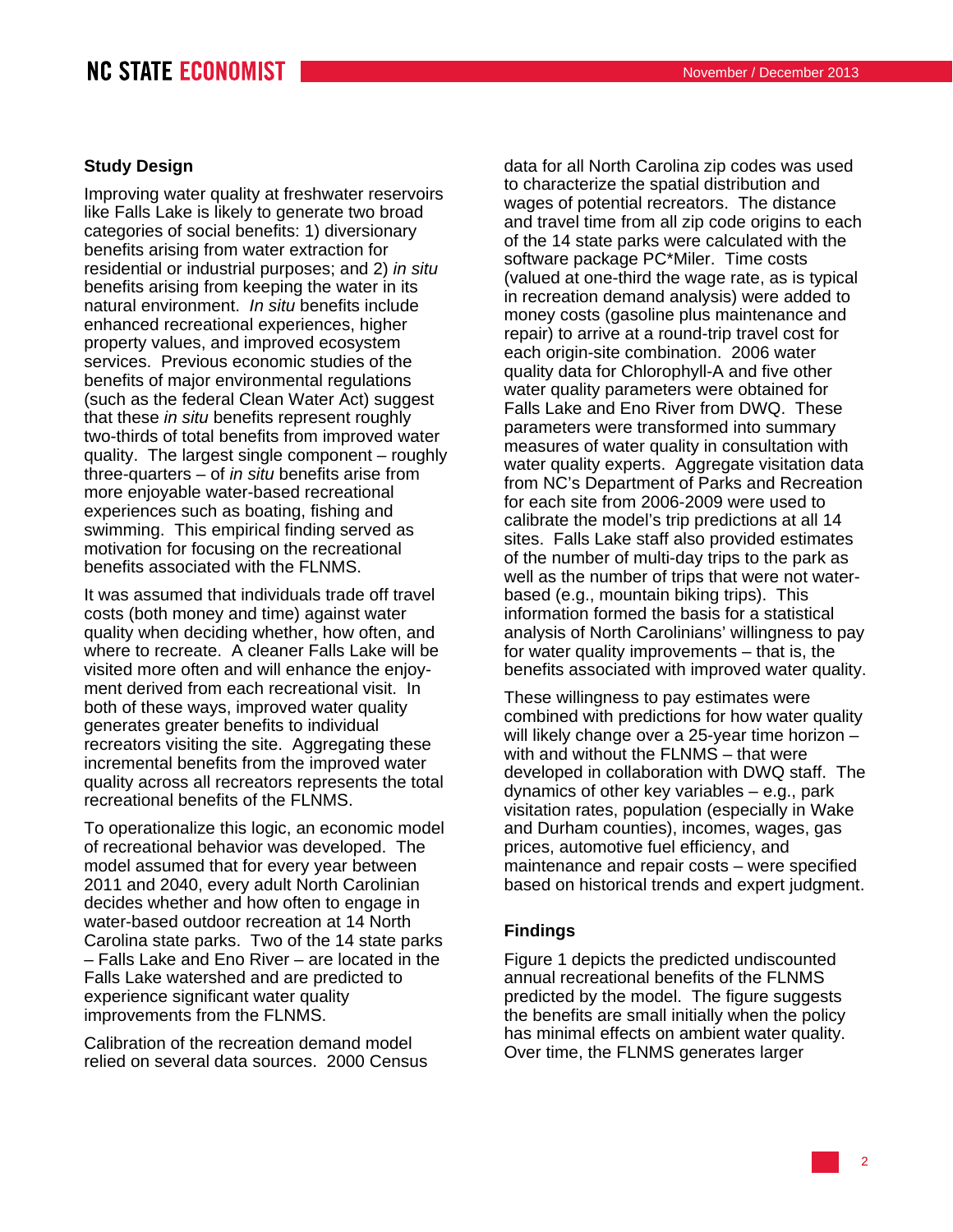## **Study Design**

Improving water quality at freshwater reservoirs like Falls Lake is likely to generate two broad categories of social benefits: 1) diversionary benefits arising from water extraction for residential or industrial purposes; and 2) *in situ* benefits arising from keeping the water in its natural environment. *In situ* benefits include enhanced recreational experiences, higher property values, and improved ecosystem services. Previous economic studies of the benefits of major environmental regulations (such as the federal Clean Water Act) suggest that these *in situ* benefits represent roughly two-thirds of total benefits from improved water quality. The largest single component – roughly three-quarters – of *in situ* benefits arise from more enjoyable water-based recreational experiences such as boating, fishing and swimming. This empirical finding served as motivation for focusing on the recreational benefits associated with the FLNMS.

It was assumed that individuals trade off travel costs (both money and time) against water quality when deciding whether, how often, and where to recreate. A cleaner Falls Lake will be visited more often and will enhance the enjoyment derived from each recreational visit. In both of these ways, improved water quality generates greater benefits to individual recreators visiting the site. Aggregating these incremental benefits from the improved water quality across all recreators represents the total recreational benefits of the FLNMS.

To operationalize this logic, an economic model of recreational behavior was developed. The model assumed that for every year between 2011 and 2040, every adult North Carolinian decides whether and how often to engage in water-based outdoor recreation at 14 North Carolina state parks. Two of the 14 state parks – Falls Lake and Eno River – are located in the Falls Lake watershed and are predicted to experience significant water quality improvements from the FLNMS.

Calibration of the recreation demand model relied on several data sources. 2000 Census data for all North Carolina zip codes was used to characterize the spatial distribution and wages of potential recreators. The distance and travel time from all zip code origins to each of the 14 state parks were calculated with the software package PC\*Miler. Time costs (valued at one-third the wage rate, as is typical in recreation demand analysis) were added to money costs (gasoline plus maintenance and repair) to arrive at a round-trip travel cost for each origin-site combination. 2006 water quality data for Chlorophyll-A and five other water quality parameters were obtained for Falls Lake and Eno River from DWQ. These parameters were transformed into summary measures of water quality in consultation with water quality experts. Aggregate visitation data from NC's Department of Parks and Recreation for each site from 2006-2009 were used to calibrate the model's trip predictions at all 14 sites. Falls Lake staff also provided estimates of the number of multi-day trips to the park as well as the number of trips that were not waterbased (e.g., mountain biking trips). This information formed the basis for a statistical analysis of North Carolinians' willingness to pay for water quality improvements – that is, the benefits associated with improved water quality.

These willingness to pay estimates were combined with predictions for how water quality will likely change over a 25-year time horizon – with and without the FLNMS – that were developed in collaboration with DWQ staff. The dynamics of other key variables – e.g., park visitation rates, population (especially in Wake and Durham counties), incomes, wages, gas prices, automotive fuel efficiency, and maintenance and repair costs – were specified based on historical trends and expert judgment.

#### **Findings**

Figure 1 depicts the predicted undiscounted annual recreational benefits of the FLNMS predicted by the model. The figure suggests the benefits are small initially when the policy has minimal effects on ambient water quality. Over time, the FLNMS generates larger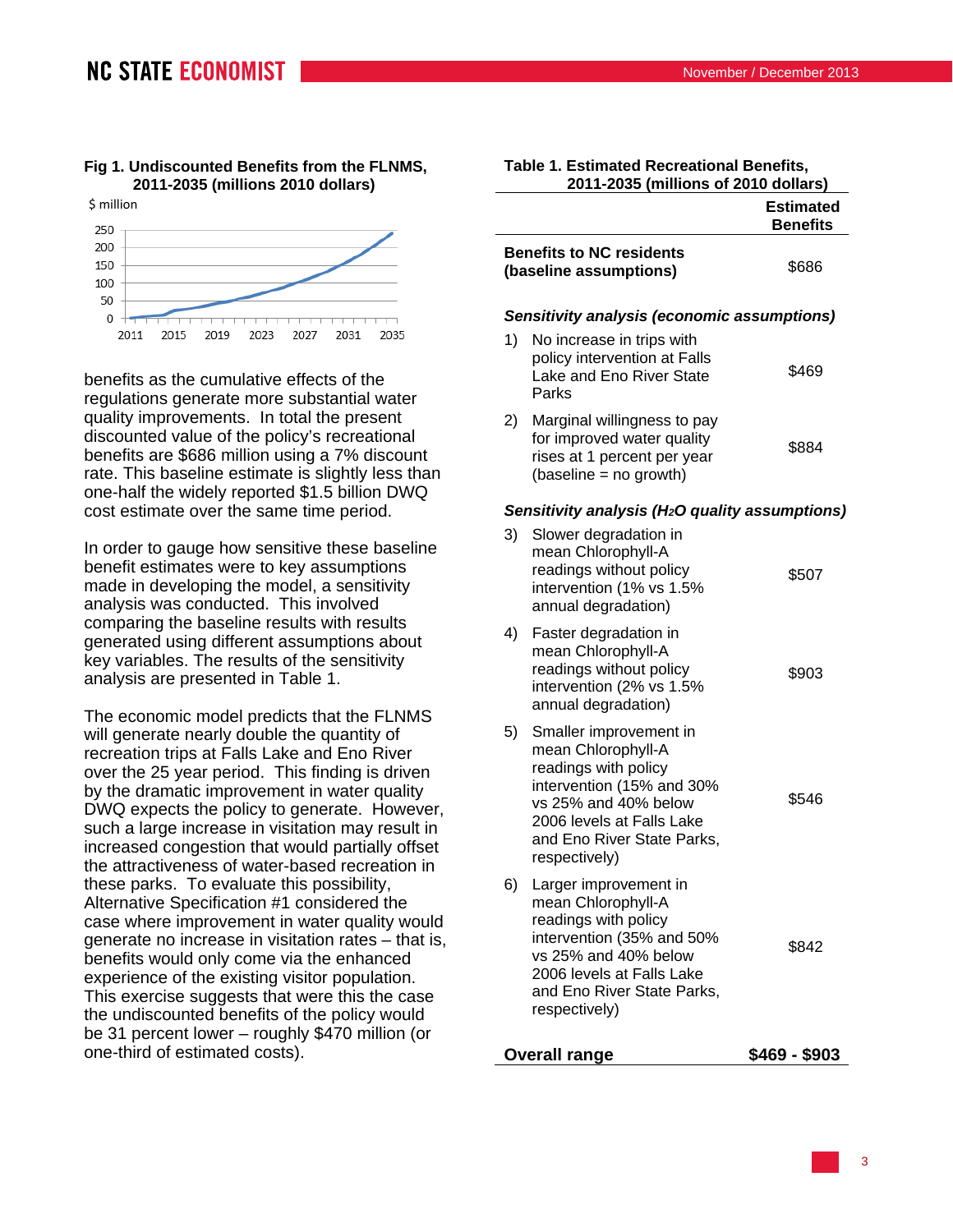## **NC STATE ECONOMIST**

#### **Fig 1. Undiscounted Benefits from the FLNMS, 2011-2035 (millions 2010 dollars)**



benefits as the cumulative effects of the regulations generate more substantial water quality improvements. In total the present discounted value of the policy's recreational benefits are \$686 million using a 7% discount rate. This baseline estimate is slightly less than one-half the widely reported \$1.5 billion DWQ cost estimate over the same time period.

In order to gauge how sensitive these baseline benefit estimates were to key assumptions made in developing the model, a sensitivity analysis was conducted. This involved comparing the baseline results with results generated using different assumptions about key variables. The results of the sensitivity analysis are presented in Table 1.

The economic model predicts that the FLNMS will generate nearly double the quantity of recreation trips at Falls Lake and Eno River over the 25 year period. This finding is driven by the dramatic improvement in water quality DWQ expects the policy to generate. However, such a large increase in visitation may result in increased congestion that would partially offset the attractiveness of water-based recreation in these parks. To evaluate this possibility, Alternative Specification #1 considered the case where improvement in water quality would generate no increase in visitation rates – that is, benefits would only come via the enhanced experience of the existing visitor population. This exercise suggests that were this the case the undiscounted benefits of the policy would be 31 percent lower – roughly \$470 million (or one-third of estimated costs).

|    |                                                                                                                                                                                                       | <b>Estimated</b><br><b>Benefits</b> |
|----|-------------------------------------------------------------------------------------------------------------------------------------------------------------------------------------------------------|-------------------------------------|
|    | <b>Benefits to NC residents</b><br>(baseline assumptions)                                                                                                                                             | \$686                               |
|    | Sensitivity analysis (economic assumptions)                                                                                                                                                           |                                     |
| 1) | No increase in trips with<br>policy intervention at Falls<br>Lake and Eno River State<br>Parks                                                                                                        | \$469                               |
| 2) | Marginal willingness to pay<br>for improved water quality<br>rises at 1 percent per year<br>(baseline = no growth)                                                                                    | \$884                               |
|    | Sensitivity analysis (H <sub>2</sub> O quality assumptions)                                                                                                                                           |                                     |
| 3) | Slower degradation in<br>mean Chlorophyll-A<br>readings without policy<br>intervention (1% vs 1.5%<br>annual degradation)                                                                             | \$507                               |
| 4) | Faster degradation in<br>mean Chlorophyll-A<br>readings without policy<br>intervention (2% vs 1.5%<br>annual degradation)                                                                             | \$903                               |
| 5) | Smaller improvement in<br>mean Chlorophyll-A<br>readings with policy<br>intervention (15% and 30%<br>vs 25% and 40% below<br>2006 levels at Falls Lake<br>and Eno River State Parks,<br>respectively) | \$546                               |
| 6) | Larger improvement in<br>mean Chlorophyll-A<br>readings with policy<br>intervention (35% and 50%<br>vs 25% and 40% below<br>2006 levels at Falls Lake<br>and Eno River State Parks,<br>respectively)  | \$842                               |
|    | <b>Overall range</b>                                                                                                                                                                                  | \$469 - \$903                       |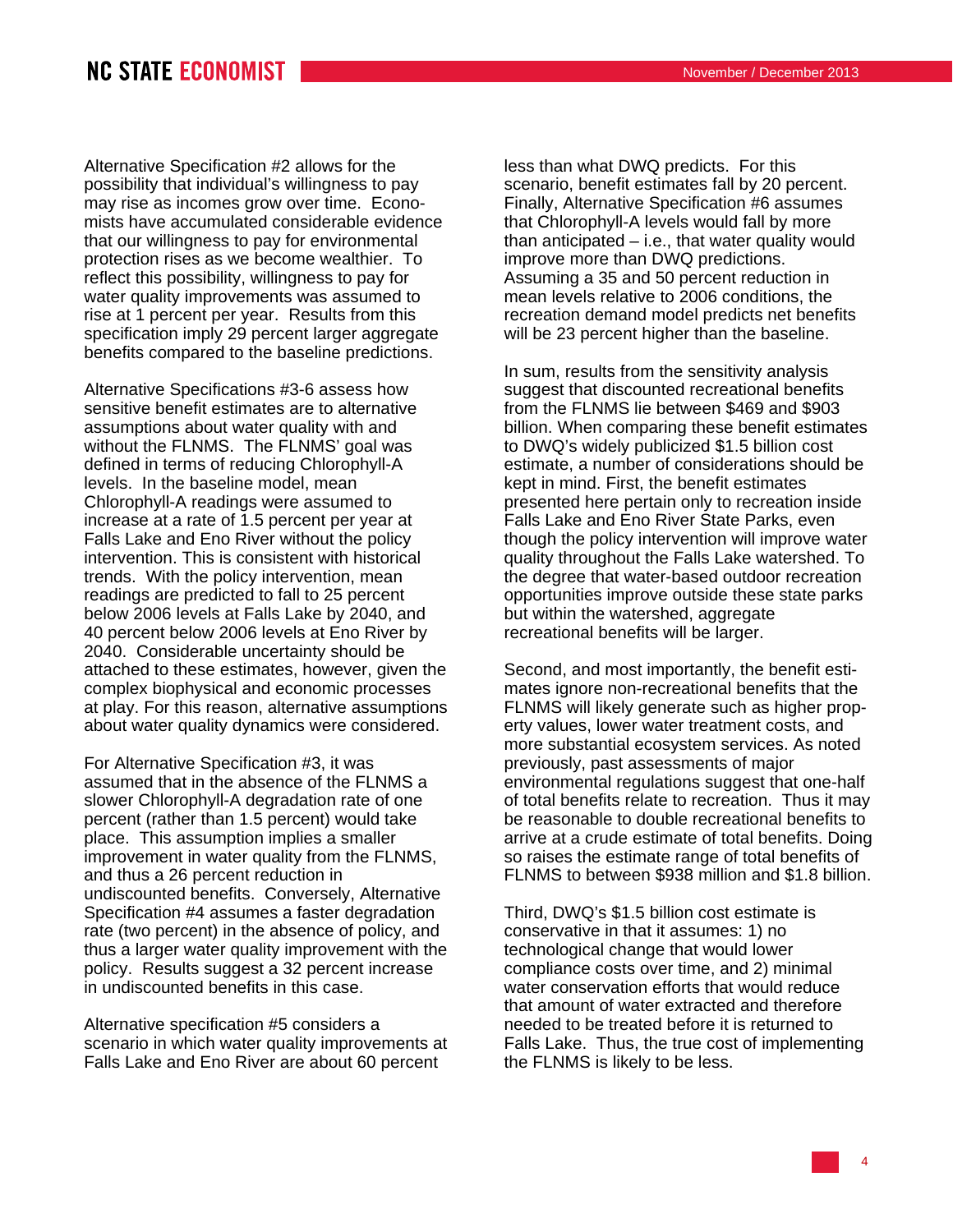## **NC STATE ECONOMIST**

Alternative Specification #2 allows for the possibility that individual's willingness to pay may rise as incomes grow over time. Economists have accumulated considerable evidence that our willingness to pay for environmental protection rises as we become wealthier. To reflect this possibility, willingness to pay for water quality improvements was assumed to rise at 1 percent per year. Results from this specification imply 29 percent larger aggregate benefits compared to the baseline predictions.

Alternative Specifications #3-6 assess how sensitive benefit estimates are to alternative assumptions about water quality with and without the FLNMS. The FLNMS' goal was defined in terms of reducing Chlorophyll-A levels. In the baseline model, mean Chlorophyll-A readings were assumed to increase at a rate of 1.5 percent per year at Falls Lake and Eno River without the policy intervention. This is consistent with historical trends. With the policy intervention, mean readings are predicted to fall to 25 percent below 2006 levels at Falls Lake by 2040, and 40 percent below 2006 levels at Eno River by 2040. Considerable uncertainty should be attached to these estimates, however, given the complex biophysical and economic processes at play. For this reason, alternative assumptions about water quality dynamics were considered.

For Alternative Specification #3, it was assumed that in the absence of the FLNMS a slower Chlorophyll-A degradation rate of one percent (rather than 1.5 percent) would take place. This assumption implies a smaller improvement in water quality from the FLNMS, and thus a 26 percent reduction in undiscounted benefits. Conversely, Alternative Specification #4 assumes a faster degradation rate (two percent) in the absence of policy, and thus a larger water quality improvement with the policy. Results suggest a 32 percent increase in undiscounted benefits in this case.

Alternative specification #5 considers a scenario in which water quality improvements at Falls Lake and Eno River are about 60 percent

less than what DWQ predicts. For this scenario, benefit estimates fall by 20 percent. Finally, Alternative Specification #6 assumes that Chlorophyll-A levels would fall by more than anticipated – i.e., that water quality would improve more than DWQ predictions. Assuming a 35 and 50 percent reduction in mean levels relative to 2006 conditions, the recreation demand model predicts net benefits will be 23 percent higher than the baseline.

In sum, results from the sensitivity analysis suggest that discounted recreational benefits from the FLNMS lie between \$469 and \$903 billion. When comparing these benefit estimates to DWQ's widely publicized \$1.5 billion cost estimate, a number of considerations should be kept in mind. First, the benefit estimates presented here pertain only to recreation inside Falls Lake and Eno River State Parks, even though the policy intervention will improve water quality throughout the Falls Lake watershed. To the degree that water-based outdoor recreation opportunities improve outside these state parks but within the watershed, aggregate recreational benefits will be larger.

Second, and most importantly, the benefit estimates ignore non-recreational benefits that the FLNMS will likely generate such as higher property values, lower water treatment costs, and more substantial ecosystem services. As noted previously, past assessments of major environmental regulations suggest that one-half of total benefits relate to recreation. Thus it may be reasonable to double recreational benefits to arrive at a crude estimate of total benefits. Doing so raises the estimate range of total benefits of FLNMS to between \$938 million and \$1.8 billion.

Third, DWQ's \$1.5 billion cost estimate is conservative in that it assumes: 1) no technological change that would lower compliance costs over time, and 2) minimal water conservation efforts that would reduce that amount of water extracted and therefore needed to be treated before it is returned to Falls Lake. Thus, the true cost of implementing the FLNMS is likely to be less.